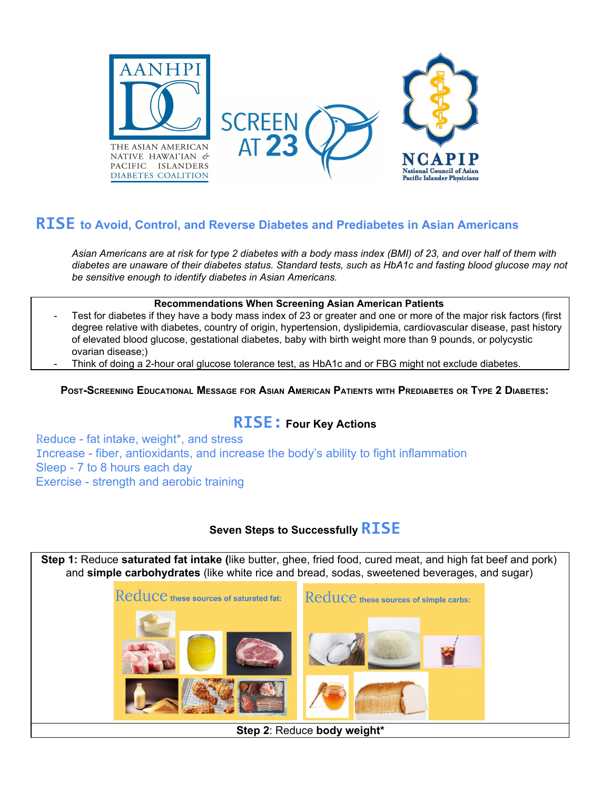

# **RISE to Avoid, Control, and Reverse Diabetes and Prediabetes in Asian Americans**

Asian Americans are at risk for type 2 diabetes with a body mass index (BMI) of 23, and over half of them with diabetes are unaware of their diabetes status. Standard tests, such as HbA1c and fasting blood glucose may not *be sensitive enough to identify diabetes in Asian Americans.*

#### **Recommendations When Screening Asian American Patients**

- Test for diabetes if they have a body mass index of 23 or greater and one or more of the major risk factors (first degree relative with diabetes, country of origin, hypertension, dyslipidemia, cardiovascular disease, past history of elevated blood glucose, gestational diabetes, baby with birth weight more than 9 pounds, or polycystic ovarian disease;)
	- Think of doing a 2-hour oral glucose tolerance test, as HbA1c and or FBG might not exclude diabetes.

### POST-SCREENING EDUCATIONAL MESSAGE FOR ASIAN AMERICAN PATIENTS WITH PREDIABETES OR TYPE 2 DIABETES.

## **RISE: Four Key Actions**

Reduce - fat intake, weight\*, and stress Increase - fiber, antioxidants, and increase the body's ability to fight inflammation Sleep - 7 to 8 hours each day Exercise - strength and aerobic training

### **Seven Steps to Successfully RISE**

**Step 1:** Reduce **saturated fat intake (**like butter, ghee, fried food, cured meat, and high fat beef and pork) and **simple carbohydrates** (like white rice and bread, sodas, sweetened beverages, and sugar)